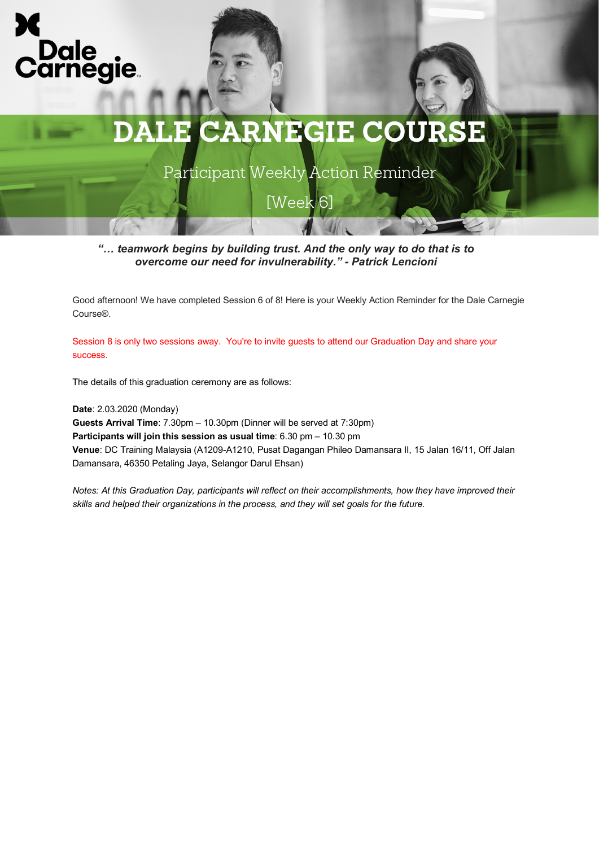



Participant Weekly Action Reminder

[Week 6]

*"… teamwork begins by building trust. And the only way to do that is to overcome our need for invulnerability." - Patrick Lencioni*

Good afternoon! We have completed Session 6 of 8! Here is your Weekly Action Reminder for the Dale Carnegie Course®.

Session 8 is only two sessions away. You're to invite guests to attend our Graduation Day and share your success.

The details of this graduation ceremony are as follows:

**Date**: 2.03.2020 (Monday) **Guests Arrival Time**: 7.30pm – 10.30pm (Dinner will be served at 7:30pm) **Participants will join this session as usual time**: 6.30 pm – 10.30 pm **Venue**: DC Training Malaysia (A1209-A1210, Pusat Dagangan Phileo Damansara II, 15 Jalan 16/11, Off Jalan Damansara, 46350 Petaling Jaya, Selangor Darul Ehsan)

*Notes: At this Graduation Day, participants will reflect on their accomplishments, how they have improved their skills and helped their organizations in the process, and they will set goals for the future.*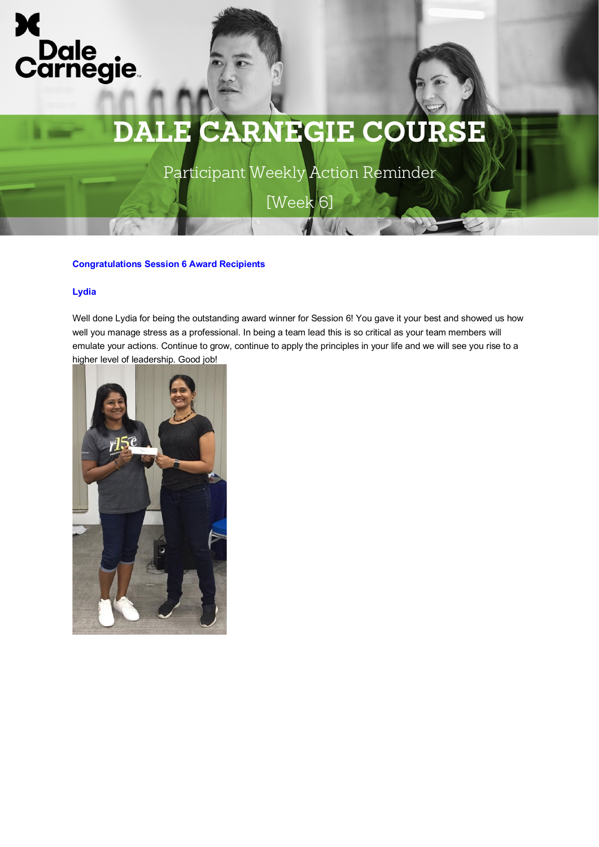

Participant Weekly Action Reminder

[Week 6]

#### **Congratulations Session 6 Award Recipients**

#### **Lydia**

Well done Lydia for being the outstanding award winner for Session 6! You gave it your best and showed us how well you manage stress as a professional. In being a team lead this is so critical as your team members will emulate your actions. Continue to grow, continue to apply the principles in your life and we will see you rise to a higher level of leadership. Good job!

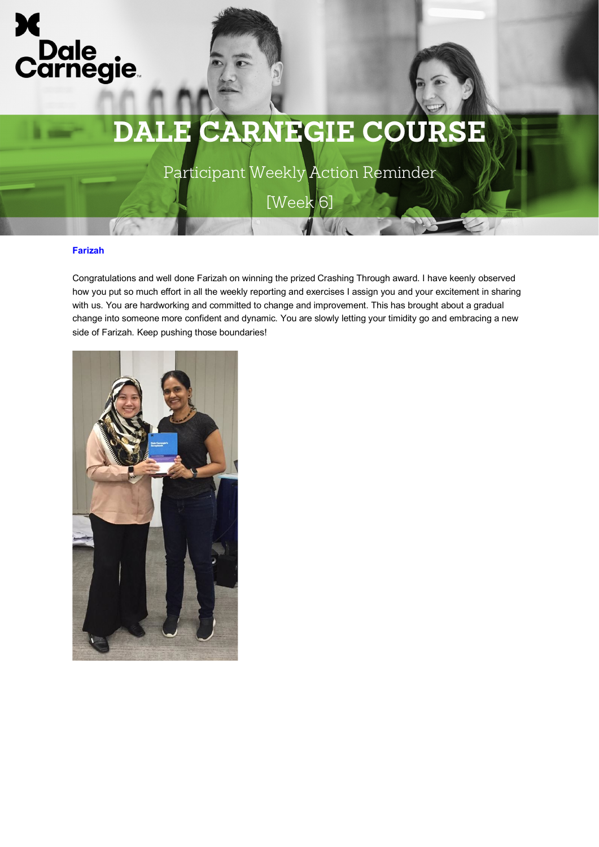

Participant Weekly Action Reminder

[Week 6]

#### **Farizah**

Congratulations and well done Farizah on winning the prized Crashing Through award. I have keenly observed how you put so much effort in all the weekly reporting and exercises I assign you and your excitement in sharing with us. You are hardworking and committed to change and improvement. This has brought about a gradual change into someone more confident and dynamic. You are slowly letting your timidity go and embracing a new side of Farizah. Keep pushing those boundaries!

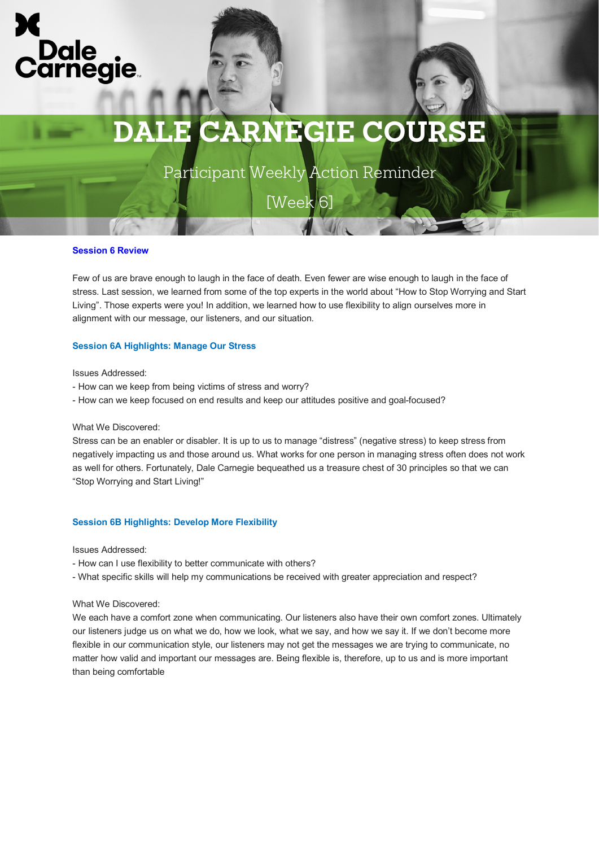

Participant Weekly Action Reminder

[Week 6]

#### **Session 6 Review**

Few of us are brave enough to laugh in the face of death. Even fewer are wise enough to laugh in the face of stress. Last session, we learned from some of the top experts in the world about "How to Stop Worrying and Start Living". Those experts were you! In addition, we learned how to use flexibility to align ourselves more in alignment with our message, our listeners, and our situation.

#### **Session 6A Highlights: Manage Our Stress**

Issues Addressed:

- How can we keep from being victims of stress and worry?
- How can we keep focused on end results and keep our attitudes positive and goal-focused?

What We Discovered:

Stress can be an enabler or disabler. It is up to us to manage "distress" (negative stress) to keep stress from negatively impacting us and those around us. What works for one person in managing stress often does not work as well for others. Fortunately, Dale Carnegie bequeathed us a treasure chest of 30 principles so that we can "Stop Worrying and Start Living!"

#### **Session 6B Highlights: Develop More Flexibility**

Issues Addressed:

- How can I use flexibility to better communicate with others?

- What specific skills will help my communications be received with greater appreciation and respect?

What We Discovered:

We each have a comfort zone when communicating. Our listeners also have their own comfort zones. Ultimately our listeners judge us on what we do, how we look, what we say, and how we say it. If we don't become more flexible in our communication style, our listeners may not get the messages we are trying to communicate, no matter how valid and important our messages are. Being flexible is, therefore, up to us and is more important than being comfortable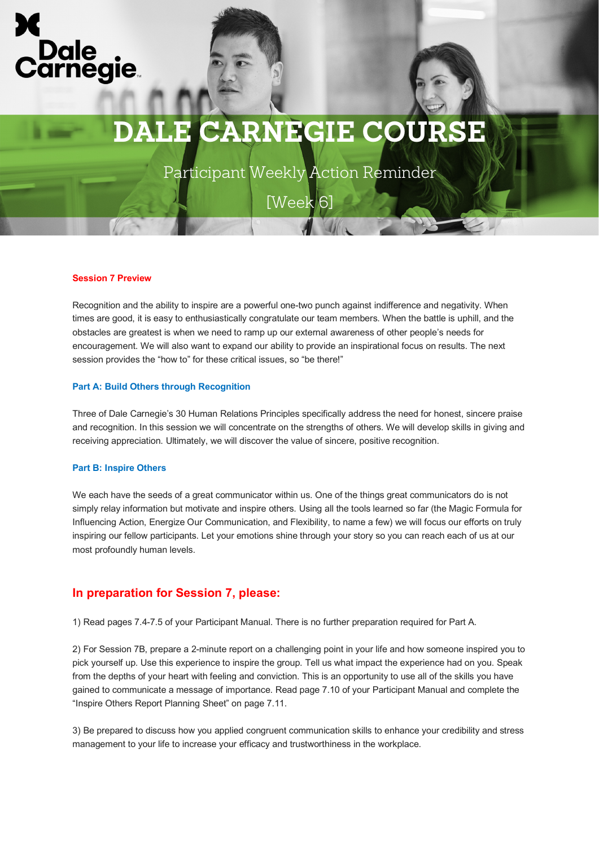

Participant Weekly Action Reminder

[Week 6]

#### **Session 7 Preview**

Recognition and the ability to inspire are a powerful one-two punch against indifference and negativity. When times are good, it is easy to enthusiastically congratulate our team members. When the battle is uphill, and the obstacles are greatest is when we need to ramp up our external awareness of other people's needs for encouragement. We will also want to expand our ability to provide an inspirational focus on results. The next session provides the "how to" for these critical issues, so "be there!"

#### **Part A: Build Others through Recognition**

Three of Dale Carnegie's 30 Human Relations Principles specifically address the need for honest, sincere praise and recognition. In this session we will concentrate on the strengths of others. We will develop skills in giving and receiving appreciation. Ultimately, we will discover the value of sincere, positive recognition.

#### **Part B: Inspire Others**

We each have the seeds of a great communicator within us. One of the things great communicators do is not simply relay information but motivate and inspire others. Using all the tools learned so far (the Magic Formula for Influencing Action, Energize Our Communication, and Flexibility, to name a few) we will focus our efforts on truly inspiring our fellow participants. Let your emotions shine through your story so you can reach each of us at our most profoundly human levels.

### **In preparation for Session 7, please:**

1) Read pages 7.4-7.5 of your Participant Manual. There is no further preparation required for Part A.

2) For Session 7B, prepare a 2-minute report on a challenging point in your life and how someone inspired you to pick yourself up. Use this experience to inspire the group. Tell us what impact the experience had on you. Speak from the depths of your heart with feeling and conviction. This is an opportunity to use all of the skills you have gained to communicate a message of importance. Read page 7.10 of your Participant Manual and complete the "Inspire Others Report Planning Sheet" on page 7.11.

3) Be prepared to discuss how you applied congruent communication skills to enhance your credibility and stress management to your life to increase your efficacy and trustworthiness in the workplace.